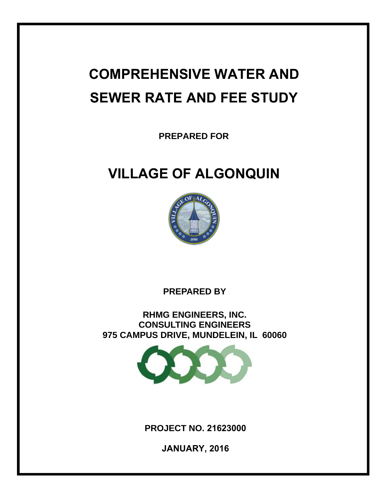# **COMPREHENSIVE WATER AND SEWER RATE AND FEE STUDY**

**PREPARED FOR** 

## **VILLAGE OF ALGONQUIN**



**PREPARED BY** 

**RHMG ENGINEERS, INC. CONSULTING ENGINEERS 975 CAMPUS DRIVE, MUNDELEIN, IL 60060** 



**PROJECT NO. 21623000**

**JANUARY, 2016**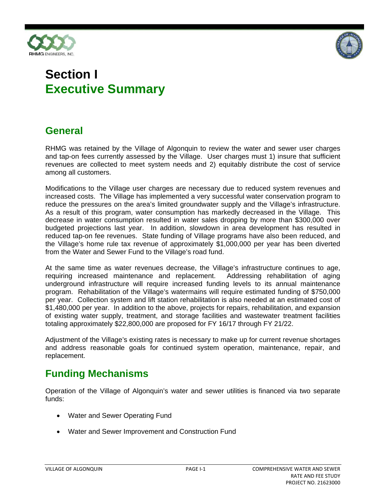



## **Section I Executive Summary**

### **General**

RHMG was retained by the Village of Algonquin to review the water and sewer user charges and tap-on fees currently assessed by the Village. User charges must 1) insure that sufficient revenues are collected to meet system needs and 2) equitably distribute the cost of service among all customers.

Modifications to the Village user charges are necessary due to reduced system revenues and increased costs. The Village has implemented a very successful water conservation program to reduce the pressures on the area's limited groundwater supply and the Village's infrastructure. As a result of this program, water consumption has markedly decreased in the Village. This decrease in water consumption resulted in water sales dropping by more than \$300,000 over budgeted projections last year. In addition, slowdown in area development has resulted in reduced tap-on fee revenues. State funding of Village programs have also been reduced, and the Village's home rule tax revenue of approximately \$1,000,000 per year has been diverted from the Water and Sewer Fund to the Village's road fund.

At the same time as water revenues decrease, the Village's infrastructure continues to age, requiring increased maintenance and replacement. Addressing rehabilitation of aging underground infrastructure will require increased funding levels to its annual maintenance program. Rehabilitation of the Village's watermains will require estimated funding of \$750,000 per year. Collection system and lift station rehabilitation is also needed at an estimated cost of \$1,480,000 per year. In addition to the above, projects for repairs, rehabilitation, and expansion of existing water supply, treatment, and storage facilities and wastewater treatment facilities totaling approximately \$22,800,000 are proposed for FY 16/17 through FY 21/22.

Adjustment of the Village's existing rates is necessary to make up for current revenue shortages and address reasonable goals for continued system operation, maintenance, repair, and replacement.

### **Funding Mechanisms**

Operation of the Village of Algonquin's water and sewer utilities is financed via two separate funds:

- Water and Sewer Operating Fund
- Water and Sewer Improvement and Construction Fund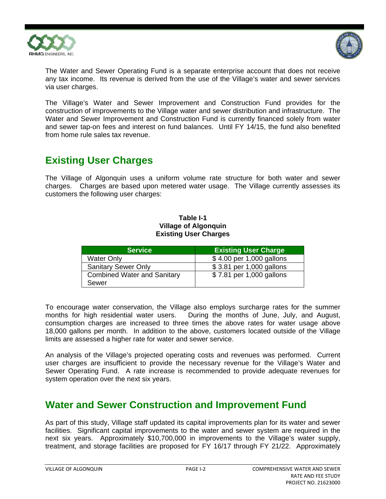



The Water and Sewer Operating Fund is a separate enterprise account that does not receive any tax income. Its revenue is derived from the use of the Village's water and sewer services via user charges.

The Village's Water and Sewer Improvement and Construction Fund provides for the construction of improvements to the Village water and sewer distribution and infrastructure. The Water and Sewer Improvement and Construction Fund is currently financed solely from water and sewer tap-on fees and interest on fund balances. Until FY 14/15, the fund also benefited from home rule sales tax revenue.

### **Existing User Charges**

The Village of Algonquin uses a uniform volume rate structure for both water and sewer charges. Charges are based upon metered water usage. The Village currently assesses its customers the following user charges:

### **Table I-1 Village of Algonquin Existing User Charges**

| <b>Service</b>                     | <b>Existing User Charge</b> |
|------------------------------------|-----------------------------|
| <b>Water Only</b>                  | \$4.00 per 1,000 gallons    |
| <b>Sanitary Sewer Only</b>         | \$3.81 per 1,000 gallons    |
| <b>Combined Water and Sanitary</b> | \$7.81 per 1,000 gallons    |
| Sewer                              |                             |

To encourage water conservation, the Village also employs surcharge rates for the summer months for high residential water users. During the months of June, July, and August, consumption charges are increased to three times the above rates for water usage above 18,000 gallons per month. In addition to the above, customers located outside of the Village limits are assessed a higher rate for water and sewer service.

An analysis of the Village's projected operating costs and revenues was performed. Current user charges are insufficient to provide the necessary revenue for the Village's Water and Sewer Operating Fund. A rate increase is recommended to provide adequate revenues for system operation over the next six years.

### **Water and Sewer Construction and Improvement Fund**

As part of this study, Village staff updated its capital improvements plan for its water and sewer facilities. Significant capital improvements to the water and sewer system are required in the next six years. Approximately \$10,700,000 in improvements to the Village's water supply, treatment, and storage facilities are proposed for FY 16/17 through FY 21/22. Approximately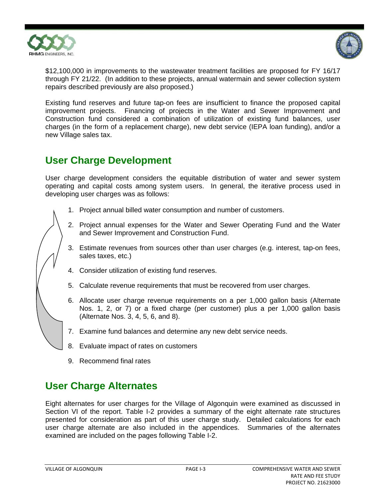



\$12,100,000 in improvements to the wastewater treatment facilities are proposed for FY 16/17 through FY 21/22. (In addition to these projects, annual watermain and sewer collection system repairs described previously are also proposed.)

Existing fund reserves and future tap-on fees are insufficient to finance the proposed capital improvement projects. Financing of projects in the Water and Sewer Improvement and Construction fund considered a combination of utilization of existing fund balances, user charges (in the form of a replacement charge), new debt service (IEPA loan funding), and/or a new Village sales tax.

### **User Charge Development**

User charge development considers the equitable distribution of water and sewer system operating and capital costs among system users. In general, the iterative process used in developing user charges was as follows:

- 1. Project annual billed water consumption and number of customers.
- 2. Project annual expenses for the Water and Sewer Operating Fund and the Water and Sewer Improvement and Construction Fund.
- 3. Estimate revenues from sources other than user charges (e.g. interest, tap-on fees, sales taxes, etc.)
- 4. Consider utilization of existing fund reserves.
- 5. Calculate revenue requirements that must be recovered from user charges.
- 6. Allocate user charge revenue requirements on a per 1,000 gallon basis (Alternate Nos. 1, 2, or 7) or a fixed charge (per customer) plus a per 1,000 gallon basis (Alternate Nos. 3, 4, 5, 6, and 8).
- 7. Examine fund balances and determine any new debt service needs.
- 8. Evaluate impact of rates on customers
- 9. Recommend final rates

### **User Charge Alternates**

Eight alternates for user charges for the Village of Algonquin were examined as discussed in Section VI of the report. Table I-2 provides a summary of the eight alternate rate structures presented for consideration as part of this user charge study. Detailed calculations for each user charge alternate are also included in the appendices. Summaries of the alternates examined are included on the pages following Table I-2.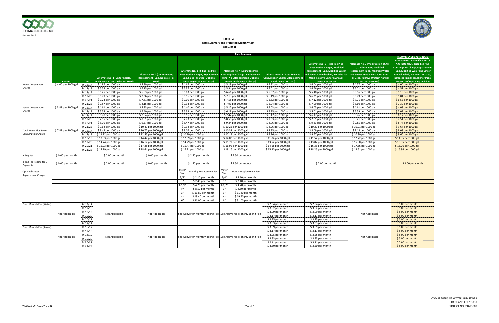

**Table I‐2 Rate Summary and Projected Monthly Cost (Page 1 of 2)**

|                                                            |                     |                                                                      |                                                                            |                                                                                  |                                                                                                                                                                 | <b>Rate Summary</b>                                                                                                                                         |                                                                                                                       |                                                                                                                                                                                                                                      |                                                                                                                                                                                                                           |                                                                                                                                                                                                                                                                                                                            |
|------------------------------------------------------------|---------------------|----------------------------------------------------------------------|----------------------------------------------------------------------------|----------------------------------------------------------------------------------|-----------------------------------------------------------------------------------------------------------------------------------------------------------------|-------------------------------------------------------------------------------------------------------------------------------------------------------------|-----------------------------------------------------------------------------------------------------------------------|--------------------------------------------------------------------------------------------------------------------------------------------------------------------------------------------------------------------------------------|---------------------------------------------------------------------------------------------------------------------------------------------------------------------------------------------------------------------------|----------------------------------------------------------------------------------------------------------------------------------------------------------------------------------------------------------------------------------------------------------------------------------------------------------------------------|
|                                                            | <b>Current</b>      | Year                                                                 | Alternate No. 1 (Uniform Rate,<br><b>Replacement Fund, Sales Tax Used)</b> | Alternate No. 2 (Uniform Rate,<br><b>Replacement Fund, No Sales Tax</b><br>Used) | <b>Alternate No. 3 (Billing Fee Plus</b><br><b>Consumption Charge, Replacement</b><br><b>Fund, Sales Tax Used, Optional</b><br><b>Meter Replacement Charge)</b> | <b>Alternate No. 4 (Billing Fee Plus</b><br><b>Consumption Charge, Replacement</b><br>Fund, No Sales Tax Used, Optional<br><b>Meter Replacement Charge)</b> | <b>Alternate No. 5 (Fixed Fee Plus</b><br><b>Consumption Charge, Replacement</b><br><b>Fund, Sales Tax Used)</b>      | <b>Alternate No. 6 (Fixed Fee Plus</b><br><b>Consumption Charge, Modified</b><br><b>Replacement Fund, Modified Water</b><br>and Sewer Annual Rehab, No Sales Tax<br><b>Used, Relative Uniform Annual</b><br><b>Percent Increase)</b> | Alternate No. 7 (Modification of Alt.<br>2. Uniform Rate. Modified<br><b>Replacement Fund, Modified Water</b><br>and Sewer Annual Rehab, No Sales<br><b>Tax Used, Relative Uniform Annual</b><br><b>Percent Increase)</b> | <b>RECOMMENDED ALTERNATE</b><br><b>Alternate No. 8 (Modification of</b><br>Alternate No. 6, Fixed Fee Plus<br><b>Consumption Charge, Replacement</b><br>Fund, Modified Water and Sewer<br><b>Annual Rehab, No Sales Tax Used,</b><br><b>Increased Fixed Fees, Higher Initial</b><br><b>Recovery of Operating Deficits)</b> |
| <b>Water Consumption</b>                                   | \$4.00 per 1000 gal | FY 16/17                                                             | \$4.87 per 1000 gal                                                        | \$5.39 per 1000 gal                                                              | \$4.67 per 1000 gal                                                                                                                                             | \$5.19 per 1000 gal                                                                                                                                         | \$4.32 per 1000 gal                                                                                                   | \$4.04 per 1000 gal                                                                                                                                                                                                                  | \$4.57 per 1000 gal                                                                                                                                                                                                       | \$4.00 per 1000 gal                                                                                                                                                                                                                                                                                                        |
| Charge                                                     |                     | FY 17/18                                                             | \$5.58 per 1000 gal                                                        | \$6.15 per 1000 gal                                                              | \$5.37 per 1000 gal                                                                                                                                             | \$5.94 per 1000 gal                                                                                                                                         | \$5.01 per 1000 gal                                                                                                   | \$4.66 per 1000 gal                                                                                                                                                                                                                  | \$5.21 per 1000 gal                                                                                                                                                                                                       | \$4.57 per 1000 gal                                                                                                                                                                                                                                                                                                        |
|                                                            |                     | FY 18/19                                                             | \$6.25 per 1000 gal                                                        | \$6.83 per 1000 gal                                                              | \$6.03 per 1000 gal                                                                                                                                             | \$6.61 per 1000 gal                                                                                                                                         | \$5.67 per 1000 gal                                                                                                   | \$5.40 per 1000 gal                                                                                                                                                                                                                  | \$5.96 per 1000 gal                                                                                                                                                                                                       | \$5.18 per 1000 gal                                                                                                                                                                                                                                                                                                        |
|                                                            |                     | FY 19/20                                                             | \$6.79 per 1000 gal                                                        | \$7.36 per 1000 gal                                                              | \$6.56 per 1000 gal                                                                                                                                             | \$7.13 per 1000 gal                                                                                                                                         | \$6.19 per 1000 gal                                                                                                   | \$6.21 per 1000 gal                                                                                                                                                                                                                  | \$6.79 per 1000 gal                                                                                                                                                                                                       | \$5.81 per 1000 gal                                                                                                                                                                                                                                                                                                        |
|                                                            |                     | FY 20/21                                                             | \$7.23 per 1000 gal                                                        | \$7.81 per 1000 gal                                                              | \$7.00 per 1000 gal                                                                                                                                             | \$7.58 per 1000 gal                                                                                                                                         | \$6.62 per 1000 gal                                                                                                   | \$7.12 per 1000 gal                                                                                                                                                                                                                  | \$7.71 per 1000 gal                                                                                                                                                                                                       | \$6.52 per 1000 gal                                                                                                                                                                                                                                                                                                        |
|                                                            |                     | FY 21/22                                                             | \$7.57 per 1000 gal                                                        | \$8.15 per 1000 gal                                                              | \$7.33 per 1000 gal                                                                                                                                             | \$7.91 per 1000 gal                                                                                                                                         | \$6.94 per 1000 gal                                                                                                   | \$7.99 per 1000 gal                                                                                                                                                                                                                  | \$8.60 per 1000 gal                                                                                                                                                                                                       | \$7.30 per 1000 gal                                                                                                                                                                                                                                                                                                        |
| Sewer Consumption                                          | \$3.81 per 1000 gal | FY 16/17                                                             | \$4.61 per 1000 gal                                                        | \$5.33 per 1000 gal                                                              | \$4.40 per 1000 gal                                                                                                                                             | \$5.12 per 1000 gal                                                                                                                                         | \$4.03 per 1000 gal                                                                                                   | \$4.05 per 1000 gal                                                                                                                                                                                                                  | \$4.61 per 1000 gal                                                                                                                                                                                                       | \$4.08 per 1000 gal                                                                                                                                                                                                                                                                                                        |
| Charge                                                     |                     | FY 17/18                                                             | \$5.54 per 1000 gal                                                        | \$6.40 per 1000 gal                                                              | \$5.33 per 1000 gal                                                                                                                                             | \$6.19 per 1000 gal                                                                                                                                         | \$4.95 per 1000 gal                                                                                                   | \$5.01 per 1000 gal                                                                                                                                                                                                                  | \$5.59 per 1000 gal                                                                                                                                                                                                       | \$5.03 per 1000 gal                                                                                                                                                                                                                                                                                                        |
|                                                            |                     | FY 18/19                                                             | \$6.78 per 1000 gal                                                        | \$7.64 per 1000 gal                                                              | \$6.56 per 1000 gal                                                                                                                                             | \$7.42 per 1000 gal                                                                                                                                         | \$6.17 per 1000 gal                                                                                                   | \$6.17 per 1000 gal                                                                                                                                                                                                                  | \$6.76 per 1000 gal                                                                                                                                                                                                       | \$6.17 per 1000 gal                                                                                                                                                                                                                                                                                                        |
|                                                            |                     | FY 19/20                                                             |                                                                            |                                                                                  |                                                                                                                                                                 | \$8.59 per 1000 gal                                                                                                                                         | \$7.33 per 1000 gal                                                                                                   |                                                                                                                                                                                                                                      |                                                                                                                                                                                                                           |                                                                                                                                                                                                                                                                                                                            |
|                                                            |                     |                                                                      | \$7.95 per 1000 gal                                                        | \$8.81 per 1000 gal                                                              | \$7.73 per 1000 gal                                                                                                                                             |                                                                                                                                                             |                                                                                                                       | \$7.61 per 1000 gal                                                                                                                                                                                                                  | \$8.21 per 1000 gal                                                                                                                                                                                                       | \$7.54 per 1000 gal                                                                                                                                                                                                                                                                                                        |
|                                                            |                     | FY 20/21                                                             | \$8.70 per 1000 gal                                                        | \$9.57 per 1000 gal                                                              | \$8.47 per 1000 gal                                                                                                                                             | \$9.34 per 1000 gal                                                                                                                                         | \$8.06 per 1000 gal                                                                                                   | \$9.23 per 1000 gal                                                                                                                                                                                                                  | \$9.85 per 1000 gal                                                                                                                                                                                                       | \$8.74 per 1000 gal                                                                                                                                                                                                                                                                                                        |
|                                                            |                     | FY 21/22                                                             | \$9.62 per 1000 gal                                                        | \$10.49 per 1000 gal                                                             | \$9.38 per 1000 gal                                                                                                                                             | \$10.25 per 1000 gal                                                                                                                                        | \$8.96 per 1000 gal                                                                                                   | \$10.27 per 1000 gal                                                                                                                                                                                                                 | \$10.91 per 1000 gal                                                                                                                                                                                                      | \$9.64 per 1000 gal                                                                                                                                                                                                                                                                                                        |
| <b>Total Water Plus Sewer</b><br><b>Consumption Charge</b> | \$7.81 per 1000 gal | FY 16/17                                                             | $59.48$ per 1000 gal                                                       | \$10.72 per 1000 gal                                                             | \$9.07 per 1000 gal                                                                                                                                             | \$10.31 per 1000 gal                                                                                                                                        | \$8.35 per 1000 gal                                                                                                   | \$8.09 per 1000 gal                                                                                                                                                                                                                  | \$9.18 per 1000 gal                                                                                                                                                                                                       | \$8.08 per 1000 gal                                                                                                                                                                                                                                                                                                        |
|                                                            |                     | FY 17/18                                                             | \$11.12 per 1000 gal                                                       | \$12.55 per 1000 gal                                                             | \$10.70 per 1000 gal                                                                                                                                            | \$12.13 per 1000 gal                                                                                                                                        | \$9.96 per 1000 gal                                                                                                   | \$9.67 per 1000 gal                                                                                                                                                                                                                  | \$10.80 per 1000 gal                                                                                                                                                                                                      | \$9.60 per 1000 gal                                                                                                                                                                                                                                                                                                        |
|                                                            |                     | FY 18/19                                                             | \$13.03 per 1000 gal                                                       | \$14.47 per 1000 gal                                                             | \$12.59 per 1000 gal                                                                                                                                            | \$14.03 per 1000 gal                                                                                                                                        | \$11.84 per 1000 gal                                                                                                  | \$11.57 per 1000 gal                                                                                                                                                                                                                 | \$12.72 per 1000 gal                                                                                                                                                                                                      | \$11.35 per 1000 gal                                                                                                                                                                                                                                                                                                       |
|                                                            |                     | FY 19/20                                                             | \$14.74 per 1000 gal                                                       | \$16.17 per 1000 gal                                                             | \$14.29 per 1000 gal                                                                                                                                            | \$15.72 per 1000 gal                                                                                                                                        | \$13.52 per 1000 gal                                                                                                  | \$13.82 per 1000 gal                                                                                                                                                                                                                 | \$15.00 per 1000 gal                                                                                                                                                                                                      | \$13.35 per 1000 gal                                                                                                                                                                                                                                                                                                       |
|                                                            |                     | FY 20/21                                                             | \$15.93 per 1000 gal                                                       | \$17.38 per 1000 gal                                                             | \$15.47 per 1000 gal                                                                                                                                            | \$16.92 per 1000 gal                                                                                                                                        | \$14.68 per 1000 gal                                                                                                  | \$16.35 per 1000 gal                                                                                                                                                                                                                 | \$17.56 per 1000 gal                                                                                                                                                                                                      | \$15.26 per 1000 gal                                                                                                                                                                                                                                                                                                       |
|                                                            |                     | FY 21/22                                                             | \$17.19 per 1000 gal                                                       | \$18.64 per 1000 gal                                                             | \$16.71 per 1000 gal                                                                                                                                            | \$18.16 per 1000 gal                                                                                                                                        | \$15.90 per 1000 gal                                                                                                  | \$18.26 per 1000 gal                                                                                                                                                                                                                 | \$19.51 per 1000 gal                                                                                                                                                                                                      | \$16.94 per 1000 gal                                                                                                                                                                                                                                                                                                       |
| <b>Billing Fee</b>                                         | \$0.00 per month    |                                                                      | \$0.00 per month                                                           | \$0.00 per month                                                                 | \$2.50 per month                                                                                                                                                | \$2.50 per month                                                                                                                                            |                                                                                                                       |                                                                                                                                                                                                                                      |                                                                                                                                                                                                                           |                                                                                                                                                                                                                                                                                                                            |
| Billing Fee Rebate for E-<br>Payments                      | \$0.00 per month    |                                                                      | \$0.00 per month                                                           | \$0.00 per month                                                                 | \$1.50 per month                                                                                                                                                | \$1.50 per month                                                                                                                                            |                                                                                                                       | \$2.00 per month                                                                                                                                                                                                                     |                                                                                                                                                                                                                           | $$1.00$ per month                                                                                                                                                                                                                                                                                                          |
| <b>Optional Meter</b><br><b>Replacement Charge</b>         |                     |                                                                      |                                                                            |                                                                                  | Meter<br>Monthly Replacement Fee<br>Size                                                                                                                        | Meter<br>Monthly Replacement Fee<br>Size                                                                                                                    |                                                                                                                       |                                                                                                                                                                                                                                      |                                                                                                                                                                                                                           |                                                                                                                                                                                                                                                                                                                            |
|                                                            |                     |                                                                      |                                                                            |                                                                                  | 3/4"<br>\$2.10 per month                                                                                                                                        | 3/4"<br>\$2.10 per month                                                                                                                                    |                                                                                                                       |                                                                                                                                                                                                                                      |                                                                                                                                                                                                                           |                                                                                                                                                                                                                                                                                                                            |
|                                                            |                     |                                                                      |                                                                            |                                                                                  | 1"<br>\$2.40 per month                                                                                                                                          | 1"<br>\$2.40 per month                                                                                                                                      |                                                                                                                       |                                                                                                                                                                                                                                      |                                                                                                                                                                                                                           |                                                                                                                                                                                                                                                                                                                            |
|                                                            |                     |                                                                      |                                                                            |                                                                                  | \$4.70 per month<br>$1 - 1/2"$                                                                                                                                  | \$4.70 per month<br>$1 - 1/2"$                                                                                                                              |                                                                                                                       |                                                                                                                                                                                                                                      |                                                                                                                                                                                                                           |                                                                                                                                                                                                                                                                                                                            |
|                                                            |                     |                                                                      |                                                                            |                                                                                  | \$8.50 per month<br>2"                                                                                                                                          | \$8.50 per month<br>2"                                                                                                                                      |                                                                                                                       |                                                                                                                                                                                                                                      |                                                                                                                                                                                                                           |                                                                                                                                                                                                                                                                                                                            |
|                                                            |                     |                                                                      |                                                                            |                                                                                  | 3"<br>\$11.80 per month                                                                                                                                         | 3"<br>\$11.80 per month                                                                                                                                     |                                                                                                                       |                                                                                                                                                                                                                                      |                                                                                                                                                                                                                           |                                                                                                                                                                                                                                                                                                                            |
|                                                            |                     |                                                                      |                                                                            |                                                                                  | \$19.40 per month<br>4"                                                                                                                                         | \$19.40 per month<br>4"                                                                                                                                     |                                                                                                                       |                                                                                                                                                                                                                                      |                                                                                                                                                                                                                           |                                                                                                                                                                                                                                                                                                                            |
|                                                            |                     |                                                                      |                                                                            |                                                                                  | 6"<br>\$31.00 per month                                                                                                                                         | 6"<br>\$31.00 per month                                                                                                                                     |                                                                                                                       |                                                                                                                                                                                                                                      |                                                                                                                                                                                                                           |                                                                                                                                                                                                                                                                                                                            |
| Fixed Monthly Fee (Water                                   | Not Applicable      | FY 16/17<br>FY 17/18<br>FY 18/19<br>FY 19/20<br>FY 20/21<br>FY 21/22 | Not Applicable                                                             | Not Applicable                                                                   | See Above for Monthly Billing Fee See Above for Monthly Billing Fee                                                                                             |                                                                                                                                                             | \$2.94 per month<br>\$3.02 per month<br>\$3.09 per month<br>\$3.17 per month<br>\$3.25 per month<br>\$3.33 per month  | \$2.94 per month<br>\$3.02 per month<br>\$3.09 per month<br>\$3.17 per month<br>\$3.25 per month<br>\$3.33 per month                                                                                                                 | Not Applicable                                                                                                                                                                                                            | $$5.00$ per month<br>$$5.00$ per month<br>\$5.00 per month<br>\$5.00 per month<br>\$5.00 per month<br>\$5.00 per month                                                                                                                                                                                                     |
| Fixed Monthly Fee (Sewer)                                  | Not Applicable      | FY 16/17<br>FY 17/18<br>FY 18/19<br>FY 19/20<br>FY 20/21<br>FY 21/22 | Not Applicable                                                             | Not Applicable                                                                   | See Above for Monthly Billing Fee See Above for Monthly Billing Fee                                                                                             |                                                                                                                                                             | \$3.09 per month<br>\$3.17 per month<br>$$3.25$ per month<br>\$3.33 per month<br>\$3.41 per month<br>\$3.50 per month | \$3.09 per month<br>\$3.17 per month<br>\$3.25 per month<br>\$3.33 per month<br>$$3.41$ per month<br>\$3.50 per month                                                                                                                | Not Applicable                                                                                                                                                                                                            | \$5.00 per month<br>\$5.00 per month<br>\$5.00 per month<br>\$5.00 per month<br>\$5.00 per month<br>\$5.00 per month                                                                                                                                                                                                       |

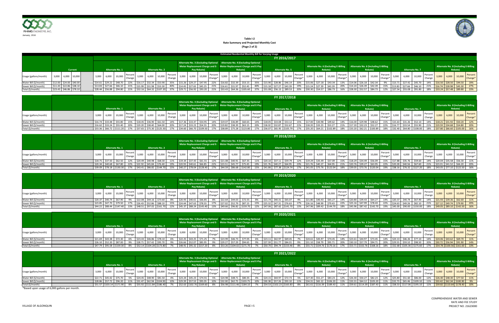

|                       |                            |                |  |         |                    |                        |                 |                          |                   |                              |         |       |                                           |         |                                        |         |                   | <b>Estimated Residential Monthly Bill for Varying Usage</b>             |        |                            |                        |                   |         |                                                                             |         |                   |       |                   |                            |         |         |         |                 |                   |  |                                   |                                                                 |
|-----------------------|----------------------------|----------------|--|---------|--------------------|------------------------|-----------------|--------------------------|-------------------|------------------------------|---------|-------|-------------------------------------------|---------|----------------------------------------|---------|-------------------|-------------------------------------------------------------------------|--------|----------------------------|------------------------|-------------------|---------|-----------------------------------------------------------------------------|---------|-------------------|-------|-------------------|----------------------------|---------|---------|---------|-----------------|-------------------|--|-----------------------------------|-----------------------------------------------------------------|
|                       |                            |                |  |         |                    |                        |                 |                          |                   |                              |         |       |                                           |         |                                        |         |                   |                                                                         |        |                            | FY 2016/2017           |                   |         |                                                                             |         |                   |       |                   |                            |         |         |         |                 |                   |  |                                   |                                                                 |
|                       |                            |                |  |         |                    |                        |                 |                          |                   |                              |         |       |                                           |         |                                        |         |                   | Alternate No. 3 (Excluding Optional Alternate No. 4 (Excluding Optional |        |                            |                        |                   |         |                                                                             |         |                   |       |                   |                            |         |         |         |                 |                   |  |                                   |                                                                 |
|                       |                            |                |  |         |                    |                        |                 |                          |                   |                              |         |       |                                           |         |                                        |         |                   | Meter Replacement Charge and E- Meter Replacement Charge and E-Pay      |        |                            |                        |                   |         | Alternate No. 6 (Excluding E-Billing   Alternate No. 6 (Including E-Billing |         |                   |       |                   |                            |         |         |         |                 |                   |  |                                   | <b>Alternate No. 8 (Including E-Billing</b>                     |
|                       |                            | <b>Current</b> |  |         |                    | <b>Alternate No. 1</b> |                 |                          |                   | <b>Alternate No. 2</b>       |         |       | Pay Rebate)                               |         |                                        |         | Rebate)           |                                                                         |        |                            | <b>Alternate No. 5</b> |                   |         |                                                                             | Rebate) |                   |       |                   | Rebate)                    |         |         |         | Alternate No. 7 |                   |  | Rebate)                           |                                                                 |
| Usage (gallons/month) | 3,000 6,000 10,000         |                |  |         | 3,000 6,000 10,000 |                        |                 | Percent<br><b>Change</b> | 3,000             | $\sim$ 1 6,000 10,000 Change | Percent | 3,000 | $\sim$ 0.000 $\Big  10,000 \Big $ Change* | Percent | 3,000                                  | 6,000   |                   | Percent<br>$\sim$ 10,000 Change                                         | 13,000 |                            | $6,000$ 10,000         | Percent<br>Change | 3,000   | 6,000                                                                       | 10,000  | Percent<br>Change | 3,000 |                   | 6,000 10,000               | Percent | 3,000   |         | 6,000 10,000    | Percent<br>Change |  |                                   | Percent<br>$\frac{1}{2}$ 3,000 6,000 10,000 Change <sup>*</sup> |
| Water Bill (\$/month) | $$12.00$ $$24.00$ $$40.00$ |                |  | \$14.61 |                    |                        | \$29.22 \$48.70 |                          | $$16.17$ $$32.34$ | \$53.90                      | 35%     |       | $$15.26$ $$29.27$ $$47.95$                | 22%     | \$16.82                                | \$32.39 | \$53.15           |                                                                         |        | $$15.90$ $$28.86$ $$46.14$ |                        | 20%               | \$15.06 | $$27.18$ $$43.34$                                                           |         | 13%               |       |                   | $$14.06$ $$26.18$ $$42.34$ |         | \$13.71 |         | \$27.42 \$45.70 |                   |  | 14%   \$16.50   \$28.50   \$44.50 | 19%                                                             |
| Sewer Bill (\$/month) | $$11.43$ $$22.86$ $$38.10$ |                |  | \$13.83 |                    |                        |                 |                          |                   |                              |         |       |                                           | 21%     |                                        |         |                   |                                                                         |        |                            |                        | 19%               |         |                                                                             | \$43.39 | 200 <sub>6</sub>  |       | $$14.24$ $$26.39$ | \$42.39                    |         | \$13.83 | \$27.66 | \$46.10         |                   |  | $\zeta$ 45 30                     | 27%                                                             |
| Total (\$/month)      | $$23.43$ $$46.86$ $$78.10$ |                |  | \$28.44 |                    |                        | \$56.88 \$94.80 |                          |                   | $$32.16$ $$64.32$ $$107.20$  |         |       |                                           |         | $$29.71$ $$56.92$ $$93.20$ 21% \$33.43 |         | $$64.36$ \$105.60 |                                                                         | 53108  |                            | $556.13$ \$89.53       | 20%               |         | $$30.30$ $$54.57$ $$86.73$                                                  |         | 16%               |       |                   | S28.30 S52.57 S84.73       |         | \$27.54 |         |                 |                   |  |                                   | $\frac{1}{2}$ \$55.08 \$91.80 18% \$33.24 \$57.48 \$89.80 23%   |

|                       |       |       |                                                                                                                                                                                                                                                                                                                |         |                        |     |                                 |                            |                                                                                                    |         |         |                                                                                                                                                          |                           |  | FY 2017/2018                  |     |         |                 |         |  |                                                                                                                                                                                                           |  |                                                                                          |                   |         |                                                                                                               |
|-----------------------|-------|-------|----------------------------------------------------------------------------------------------------------------------------------------------------------------------------------------------------------------------------------------------------------------------------------------------------------------|---------|------------------------|-----|---------------------------------|----------------------------|----------------------------------------------------------------------------------------------------|---------|---------|----------------------------------------------------------------------------------------------------------------------------------------------------------|---------------------------|--|-------------------------------|-----|---------|-----------------|---------|--|-----------------------------------------------------------------------------------------------------------------------------------------------------------------------------------------------------------|--|------------------------------------------------------------------------------------------|-------------------|---------|---------------------------------------------------------------------------------------------------------------|
|                       |       |       | Alternate No. 1                                                                                                                                                                                                                                                                                                |         | <b>Alternate No. 2</b> |     |                                 | Pay Rebate)                |                                                                                                    |         |         | Alternate No. 3 (Excluding Optional Alternate No. 4 (Excluding Optional<br>Meter Replacement Charge and E- Meter Replacement Charge and E-Pay<br>Rebate) |                           |  | <b>Alternate No. 5</b>        |     |         |                 | Rebate) |  | Alternate No. 6 (Excluding E-Billing   Alternate No. 6 (Including E-Billing<br>Rebate)                                                                                                                    |  | <b>Alternate No. 7</b>                                                                   |                   | Rebate) | Alternate No. 8 (Including E-Billing                                                                          |
| Usage (gallons/month) | 3,000 | 6,000 | $-1$ 10.000 $\left[\begin{array}{cc} \text{Percent} \\ \text{5,000} \end{array}\right]$ 3,000 $\left[\begin{array}{cc} 6,000 \\ 0.000 \end{array}\right]$ 10,000 $\left[\begin{array}{cc} 1,0,000 \\ \text{Change} \end{array}\right]$ 3,000 $\left[\begin{array}{cc} 3,000 & \text{if } 0 \end{array}\right]$ |         |                        |     |                                 |                            | $\begin{array}{ c c c c c c } \hline 3,000 & 6,000 & 10,000 & \text{Change*} \ \hline \end{array}$ |         |         |                                                                                                                                                          | Percent $3,000$   $6,000$ |  | $\sim$ 000   10,000   Change* |     |         |                 |         |  | $\begin{array}{ c c c c c c } \hline 3,000 & 6,000 & 10,000 & \text{Change*} \hline \end{array}$                                                                                                          |  | $\begin{array}{ c c c c c c } \hline 3,000 & 6,000 & 10,000 & \text{Change} \end{array}$ |                   |         | Percent<br>$\begin{array}{ c c c c c c } \hline 3,000 & 6,000 & 10,000 & \text{Change*} \ \hline \end{array}$ |
| Water Bill (\$/month) |       |       |                                                                                                                                                                                                                                                                                                                | \$18.45 |                        | 14% |                                 | $$17.36$ $$33.47$ $$54.95$ | 14%                                                                                                | \$19.07 |         | \$60.65                                                                                                                                                  | 14%                       |  | $$18.05$ $$33.08$ $$53.12$    | 15% | \$17.00 |                 | \$49.62 |  | 14% \$16.00 \$29.98 \$48.62 15%                                                                                                                                                                           |  | $$15.63$ $$31.26$ $$52.10$                                                               | $$18.21$ $$31.92$ |         |                                                                                                               |
| Sewer Bill (\$/month) |       |       | $\vert$ \$16.62   \$33.24   \$55.40   20%   \$19.20   \$38.40   \$64.00                                                                                                                                                                                                                                        |         |                        |     | 20%   \$17.24 \$33.23   \$54.55 |                            | 20%                                                                                                | \$19.82 | \$38.39 | \$63.15                                                                                                                                                  |                           |  | \$18.02 \$32.87 \$52.67       | 21% | \$18.20 | \$33.23 \$53.27 |         |  | 21%   \$17.20   \$32.23   \$52.27   22%   \$16.77   \$33.54   \$55.90                                                                                                                                     |  |                                                                                          |                   |         |                                                                                                               |
| Total (\$/month)      |       |       | $\frac{1}{2}$ \$33.36 \$66.72 \$111.20 17% \$37.65 \$75.30 \$125.50                                                                                                                                                                                                                                            |         |                        |     |                                 |                            |                                                                                                    |         |         | 17%   \$34.60   \$66.70   \$109.50     17%     \$38.89   \$75.28   \$123.80                                                                              |                           |  |                               |     |         |                 |         |  | 17%   \$36.07   \$65.95   \$105.79   17%   \$35.20   \$64.21   \$102.89   18%   \$33.20   \$62.21   \$100.89   18%   \$32.40   \$64.80   \$108.00   18% <mark>  \$37.80   \$66.60   \$105.00   16%</mark> |  |                                                                                          |                   |         |                                                                                                               |

|                       |       |                   |                                                                                                                           |          |                                   |                            |                   |                                            |             |             |     |                                                                                                                                               |                 |         |                       |                        | FY 2018/2019               |         |                                                                                                                                             |               |                                                                                                              |         |         |             |                                    |                   |         |         |                              |         |             |         |         |                                          |
|-----------------------|-------|-------------------|---------------------------------------------------------------------------------------------------------------------------|----------|-----------------------------------|----------------------------|-------------------|--------------------------------------------|-------------|-------------|-----|-----------------------------------------------------------------------------------------------------------------------------------------------|-----------------|---------|-----------------------|------------------------|----------------------------|---------|---------------------------------------------------------------------------------------------------------------------------------------------|---------------|--------------------------------------------------------------------------------------------------------------|---------|---------|-------------|------------------------------------|-------------------|---------|---------|------------------------------|---------|-------------|---------|---------|------------------------------------------|
|                       |       |                   | Alternate No. 1                                                                                                           |          |                                   | <b>Alternate No. 2</b>     |                   |                                            |             | Pay Rebate) |     | Alternate No. 3 (Excluding Optional Alternate No. 4 (Excluding Optional<br>Meter Replacement Charge and E- Meter Replacement Charge and E-Pay | Rebate)         |         |                       | <b>Alternate No. 5</b> |                            |         |                                                                                                                                             |               | Alternate No. 6 (Excluding E-Billing Alternate No. 6 (Including E-Billing<br>Rebate)                         |         |         |             | Rebate)                            |                   |         |         | <b>Alternate No. 7</b>       |         |             |         | Rebate) | Alternate No. 8 (Including E-Billing     |
| Usage (gallons/month) | 3,000 |                   | $6,000$ 10,000                                                                                                            | Percent. | 3,000 6,000                       | $\degree$ 10,000 $\degree$ | Percent<br>Change |                                            | 3,000 6,000 |             |     | $3,000$ 6,000                                                                                                                                 | 10,000          | Percent |                       |                        | 3,000 6,000 10,000         | Percent |                                                                                                                                             |               | $\binom{10,000}{10,000}$ = 10,000 $\binom{10,000}{10,000}$                                                   | Percent |         | 3,000 6,000 | 10,000                             | Percent<br>Change | 3,000   |         | 6,000 10,000 Change          | Percent | 3,000       |         |         | Percent<br>$\sim$ 10,000 Change          |
| Water Bill (\$/month) |       | $$18.75$ $$37.50$ |                                                                                                                           |          | $$20.49$ $$40.98$ $$68.30$        |                            | 11%               | $519.34$ $537.43$                          |             |             |     | \$21.08                                                                                                                                       | \$67.35         | 11%     | $\frac{1}{2}$ \$20.10 | $$37.11$ $$59.79$      |                            |         | \$19.29                                                                                                                                     |               | \$57.09                                                                                                      |         |         |             | $$18.29$ $$34.49$ $$56.09$         |                   | \$17.88 | \$35.76 | \$59.60                      |         | \$20.04     |         |         |                                          |
| Sewer Bill (\$/month) |       |                   | \$20.34 \$40.68 \$67.80                                                                                                   |          | 22%   \$22.92   \$45.84   \$76.40 |                            |                   | $\frac{1}{20}$ \$20.93 \ \$40.61 \ \$66.85 |             |             | 22% | \$23.51                                                                                                                                       | \$45.77 \$75.45 | 19%     |                       |                        | $$21.76$ $$40.27$ $$64.95$ | 23%     | $\frac{1}{2}$ $\frac{1}{2}$ $\frac{1}{2}$ $\frac{1}{2}$ $\frac{1}{2}$ $\frac{1}{2}$ $\frac{1}{2}$ $\frac{1}{2}$ $\frac{1}{2}$ $\frac{1}{2}$ | $\zeta$ 40 27 | 20 \ ^ 3                                                                                                     |         | \$20.76 |             |                                    | 22%               |         |         | \$20.28 \$40.56 \$67.60      |         | $ $ \$23.01 | \$41.52 |         |                                          |
| Total (\$/month)      |       |                   | \$39.09    \$78.18    \$130.30       17%    \$43.41    \$86.82    \$144.70       15%       \$40.27    \$78.04    \$128.40 |          |                                   |                            |                   |                                            |             |             |     |                                                                                                                                               |                 |         |                       |                        |                            |         |                                                                                                                                             |               | 17%   \$44.59   \$86.68   \$142.80   15%   \$41.86   \$77.38   \$124.74   17%   \$41.05   \$75.76   \$122.04 |         |         |             | 18%   \$39.05   \$73.76   \$120.04 |                   |         |         | 19% \$38.16 \$76.32 \$127.20 |         |             |         |         | 18%   \$43.05   \$77.10   \$122.50   16% |

\*Based upon usage of 6,000 gallons per month.

|                       |         |                                                                   |                   |                            |                        |                   |             |                            |                    |                                                                         |                              |         |                   | FY 2019/2020           |         |                              |         |         |                         |                                                                                                                                                                                                                                                          |     |         |                            |              |                   |                  |                                                                                                    |         |
|-----------------------|---------|-------------------------------------------------------------------|-------------------|----------------------------|------------------------|-------------------|-------------|----------------------------|--------------------|-------------------------------------------------------------------------|------------------------------|---------|-------------------|------------------------|---------|------------------------------|---------|---------|-------------------------|----------------------------------------------------------------------------------------------------------------------------------------------------------------------------------------------------------------------------------------------------------|-----|---------|----------------------------|--------------|-------------------|------------------|----------------------------------------------------------------------------------------------------|---------|
|                       |         |                                                                   |                   |                            |                        |                   |             |                            |                    |                                                                         |                              |         |                   |                        |         |                              |         |         |                         |                                                                                                                                                                                                                                                          |     |         |                            |              |                   |                  |                                                                                                    |         |
|                       |         |                                                                   |                   |                            |                        |                   |             |                            |                    | Alternate No. 3 (Excluding Optional Alternate No. 4 (Excluding Optional |                              |         |                   |                        |         |                              |         |         |                         |                                                                                                                                                                                                                                                          |     |         |                            |              |                   |                  |                                                                                                    |         |
|                       |         |                                                                   |                   |                            |                        |                   |             |                            |                    | Meter Replacement Charge and E- Meter Replacement Charge and E-Pay      |                              |         |                   |                        |         |                              |         |         |                         | Alternate No. 6 (Excluding E-Billing Alternate No. 6 (Including E-Billing                                                                                                                                                                                |     |         |                            |              |                   |                  | <b>Alternate No. 8 (Including E-Billing</b>                                                        |         |
|                       |         | <b>Alternate No. 1</b>                                            |                   |                            | <b>Alternate No. 2</b> |                   |             | Pay Rebate)                |                    |                                                                         | Rebate)                      |         |                   | <b>Alternate No. 5</b> |         |                              | Rebate) |         |                         | Rebate)                                                                                                                                                                                                                                                  |     |         | Alternate No. 7            |              |                   |                  | Rebate)                                                                                            |         |
| Usage (gallons/month) | 3,000   | $6,000$ 10,000                                                    | Percent<br>Change | $3,000$ 6,000 10,000       |                        | Percent<br>Change | 3,000 6,000 | $10,000$ <sub>ck</sub>     | Percent<br>Change* |                                                                         | $3,000$ 6,000 10,000 Change* | Percent | 3,000 6,000       | $\sim$ 0.000 Change*   | Percent | $3,000$ 6,000 10,000 Change* |         | Percent |                         | $\begin{array}{ c c c c c c } \hline 3,000 & 6,000 & 10,000 & \text{Change*} \ \hline \end{array}$                                                                                                                                                       |     | 3,000   |                            | 6,000 10,000 | Percent<br>Change |                  | $\begin{array}{ c c c c c c } \hline 3,000 & 6,000 & 10,000 & \text{Change*} \ \hline \end{array}$ | Percent |
| Water Bill (\$/month) | \$20.37 |                                                                   |                   | $$22.08$ $$44.16$ $$73.60$ |                        |                   |             | $$20.93$ $$40.61$ $$66.85$ |                    |                                                                         | $$22.64$ $$44.03$ $$72.55$   |         | $$21.74$ $$40.31$ | . \$65.07              |         | $$21.80$ $$40.43$            | \$65.27 |         | 14%   \$20.80   \$39.43 | \$64.27                                                                                                                                                                                                                                                  | 14% |         | $$20.37$ $$40.74$ $$67.90$ |              |                   | $$21.93$ \$39.36 |                                                                                                    |         |
| Sewer Bill (\$/month) |         |                                                                   |                   |                            |                        |                   |             |                            |                    | \$27.02                                                                 |                              |         |                   |                        |         |                              |         | 22%     |                         |                                                                                                                                                                                                                                                          |     | \$24.63 | \$49.26                    | \$82.10      |                   |                  |                                                                                                    |         |
| Total (\$/month)      |         | \$44.22   \$88.44   \$147.40   13%   \$48.51   \$97.02   \$161.70 |                   |                            |                        |                   |             |                            |                    |                                                                         |                              |         |                   |                        |         |                              |         |         |                         | 12% 545.37 \$88.24 \$145.40 13% \$49.66 \$96.82 \$159.70 12% \$47.06 \$87.62 \$141.70 13% \$47.96 \$89.42 \$144.70 18% \$49.96 \$20.42 \$47.96 \$47.96 \$49.00 \$45.96 \$47.96 \$47.96 \$47.42 \$147.70 128 \$49.00 \$150.00 \$90.00 \$150.00 18% \$49.0 |     |         |                            |              |                   |                  |                                                                                                    |         |

|                       |                             |                        |                   |       |                            |                 |                   |                  |                            |                    |                         |                                                                                                                                                          |         |                             |                            | FY 2020/2021           |                    |         |                  |                           |                   |                               |                                                                                        |         |       |                   |                                       |                         |  |                      |                                                                                              |
|-----------------------|-----------------------------|------------------------|-------------------|-------|----------------------------|-----------------|-------------------|------------------|----------------------------|--------------------|-------------------------|----------------------------------------------------------------------------------------------------------------------------------------------------------|---------|-----------------------------|----------------------------|------------------------|--------------------|---------|------------------|---------------------------|-------------------|-------------------------------|----------------------------------------------------------------------------------------|---------|-------|-------------------|---------------------------------------|-------------------------|--|----------------------|----------------------------------------------------------------------------------------------|
|                       |                             | <b>Alternate No. 1</b> |                   |       |                            | Alternate No. 2 |                   |                  | Pay Rebate)                |                    |                         | Alternate No. 3 (Excluding Optional Alternate No. 4 (Excluding Optional<br>Meter Replacement Charge and E- Meter Replacement Charge and E-Pay<br>Rebate) |         |                             |                            | <b>Alternate No. 5</b> |                    |         |                  | Rebate)                   |                   |                               | Alternate No. 6 (Excluding E-Billing   Alternate No. 6 (Including E-Billing<br>Rebate) |         |       | Alternate No. 7   |                                       |                         |  | Rebate)              | Alternate No. 8 (Including E-Billing                                                         |
| Usage (gallons/month) | 3,000                       | 6,000 10,000           | Percent<br>Change | 3,000 | 6,000                      | 10,000          | Percent<br>Change | 3,000 6,000      | 10,000                     | Percent<br>Change* |                         | $3,000$ 6,000 10,000 Change*                                                                                                                             | Percent |                             | 3,000 6,000                | 10,000                 | Percent<br>Change* |         | 3,000 6,000      | 10,000                    | Percent<br>Change |                               | $3,000$ 6,000 10,000                                                                   | Change* | 3,000 | 6,000             | 10,000                                | Percent<br>Change       |  | $3,000$ 6,000 10,000 | Percent<br>Change*                                                                           |
| Water Bill (\$/month) |                             |                        |                   |       | $$23.43$ $$46.86$ $$78.10$ |                 |                   |                  | $$22.25$ $$43.25$ $$71.25$ |                    |                         | $$23.99$ $$46.73$ $$77.05$                                                                                                                               |         |                             | $$23.11$ $$42.97$ $$69.45$ |                        |                    |         | $$24.61$ \$45.97 | \$74.45                   | 14%               | $\frac{1}{2}$ \$23.61 \$44.97 | \$73.45                                                                                | 14%     |       | $$23.13$ $$46.26$ | $$77.10$ 14% $$24.06$ \$43.62 \$69.70 |                         |  |                      |                                                                                              |
| Sewer Bill (\$/month) | $$26.10$ \$52.20            |                        |                   |       |                            |                 |                   | $$26.66$ \$52.07 | \$85.95                    |                    | \$29.27 \$57.29 \$94.65 |                                                                                                                                                          |         | \$27.59                     |                            | S84.01                 |                    | \$31.10 | \$58.79          |                           | 20%               | $\frac{1}{2}$ \$30.10 \$57.79 | \$94.71                                                                                |         |       | $$29.55$ \$59.10  | \$98.50                               | 20%   \$30.72   \$56.94 |  |                      |                                                                                              |
| Total (\$/month)      | $$47.79$ $$95.58$ $$159.30$ |                        |                   |       | 552.14 5104.28 5173.80     |                 |                   |                  | S48.91 S95.32 S157.20      |                    |                         | \$53.26 \$104.02 \$171.70                                                                                                                                |         | \$50.70 \$94.74 \$153.46 8% |                            |                        |                    |         |                  | \$55.71 \$104.76 \$170.16 |                   |                               | 17% 553.71 5102.76 5168.16                                                             |         |       |                   |                                       |                         |  |                      | 18%   \$52.68   \$105.36   \$175.60   17%   <mark>\$54.78   \$100.56   \$161.60   13%</mark> |

|                       |       |                 |                                                                      |         |                          |                        |                   |                              |                              |         |                   |                                                                                                                                                          |       | FY 2021/2022                    |         |                                              |         |       |                                                                                      |         |       |                                     |                     |  |                                                        |                                         |
|-----------------------|-------|-----------------|----------------------------------------------------------------------|---------|--------------------------|------------------------|-------------------|------------------------------|------------------------------|---------|-------------------|----------------------------------------------------------------------------------------------------------------------------------------------------------|-------|---------------------------------|---------|----------------------------------------------|---------|-------|--------------------------------------------------------------------------------------|---------|-------|-------------------------------------|---------------------|--|--------------------------------------------------------|-----------------------------------------|
|                       |       |                 | <b>Alternate No. 1</b>                                               |         |                          | <b>Alternate No. 2</b> |                   |                              | Pay Rebate)                  |         |                   | Alternate No. 3 (Excluding Optional Alternate No. 4 (Excluding Optional<br>Meter Replacement Charge and E- Meter Replacement Charge and E-Pay<br>Rebate) |       | <b>Alternate No. 5</b>          |         |                                              | Rebate) |       | Alternate No. 6 (Excluding E-Billing Alternate No. 6 (Including E-Billing<br>Rebate) |         |       | <b>Alternate No. 7</b>              |                     |  | <b>Alternate No. 8 (Including E-Billing</b><br>Rebate) |                                         |
| Usage (gallons/month) | 3,000 | 6,000           | 10,000                                                               | Percent | $3,000$ 6,000 10,000     |                        | Percent<br>Change |                              | $3,000$ 6,000 10,000 changes | Percent |                   | $\frac{1}{2}$ 3,000 6,000 10,000 $\frac{1}{2}$                                                                                                           | 3,000 | $\sim$ 1 6,000 10,000 Change*   | Percent | $\frac{1}{2^{*}}$ 3,000 6,000 10,000 Change* |         | 3,000 | $6,000$ 10,000 Change                                                                | Percent | 3,000 | 6,000 10,000                        | Percent<br>L Change |  |                                                        | Percent<br>$3,000$ 6,000 10,000 Change* |
| Water Bill (\$/month) |       |                 | \$75.70                                                              |         | \$24.45 \$48.90 \$81.50  |                        |                   |                              | $$23.24$ $$45.23$ $$74.55$   |         | $$24.98$ $$48.71$ | \$80.35                                                                                                                                                  |       | $$24.15$ $$44.97$ $$72.73$      |         | $$27.30$ \$51.27                             | \$83.23 |       | 12%   \$26.30   \$50.27   \$82.23                                                    |         |       | $5 \frac{25.80}{51.60}$ \$86.00     |                     |  | 12%   \$26.40   \$48.30   \$77.50   11%                |                                         |
| Sewer Bill (\$/month) |       | \$28.86 \$57.72 |                                                                      |         | \$31.47 \$62.94 \$104.90 |                        |                   |                              |                              | 10%     | \$32.00 \$62.75   | \$103.75                                                                                                                                                 |       | \$30.38 \$57.26 \$93.10         |         | 11%   \$34.31   \$65.12   \$106.20           |         |       | 11%   \$33.31   \$64.12   \$105.20                                                   |         |       | 11% 532.73 565.46 5109.10           |                     |  |                                                        |                                         |
| Total (\$/month)      |       |                 | $\frac{1}{2}$ \$51.57 \$103.14 \$171.90 8% \$55.92 \$111.84 \$186.40 |         |                          |                        |                   | $$52.63$ $$102.76$ $$169.60$ |                              | 8%      |                   | \$56.98 \$111.46 \$184.10                                                                                                                                |       | $$54.53$ $$102.23$ $$165.83$ 8% |         | $$61.61$ \$116.39 \$189.43                   |         |       | 11%   \$59.61   \$114.39   \$187.43                                                  |         |       | 11%   \$58.53   \$117.06   \$195.10 |                     |  | 11% 559.82 \$110.64 \$178.40 10%                       |                                         |

#### **Table I‐2 Rate Summary and Projected Monthly Cost (Page 2 of 2)**

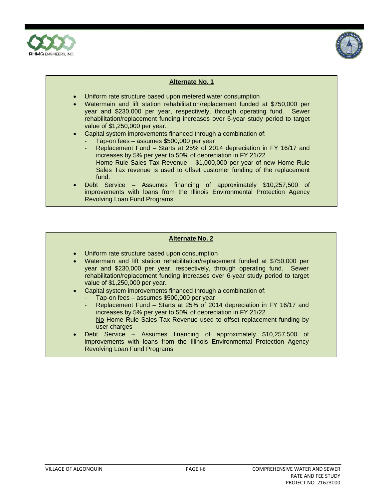



- Uniform rate structure based upon metered water consumption
- Watermain and lift station rehabilitation/replacement funded at \$750,000 per year and \$230,000 per year, respectively, through operating fund. Sewer rehabilitation/replacement funding increases over 6-year study period to target value of \$1,250,000 per year.
- Capital system improvements financed through a combination of:
- Tap-on fees assumes \$500,000 per year
	- Replacement Fund Starts at 25% of 2014 depreciation in FY 16/17 and increases by 5% per year to 50% of depreciation in FY 21/22
	- Home Rule Sales Tax Revenue \$1,000,000 per year of new Home Rule Sales Tax revenue is used to offset customer funding of the replacement fund.
- Debt Service Assumes financing of approximately \$10,257,500 of improvements with loans from the Illinois Environmental Protection Agency Revolving Loan Fund Programs

- Uniform rate structure based upon consumption
- Watermain and lift station rehabilitation/replacement funded at \$750,000 per year and \$230,000 per year, respectively, through operating fund. Sewer rehabilitation/replacement funding increases over 6-year study period to target value of \$1,250,000 per year.
- Capital system improvements financed through a combination of:
	- Tap-on fees assumes \$500,000 per year
		- Replacement Fund Starts at 25% of 2014 depreciation in FY 16/17 and increases by 5% per year to 50% of depreciation in FY 21/22
	- No Home Rule Sales Tax Revenue used to offset replacement funding by user charges
- Debt Service Assumes financing of approximately \$10,257,500 of improvements with loans from the Illinois Environmental Protection Agency Revolving Loan Fund Programs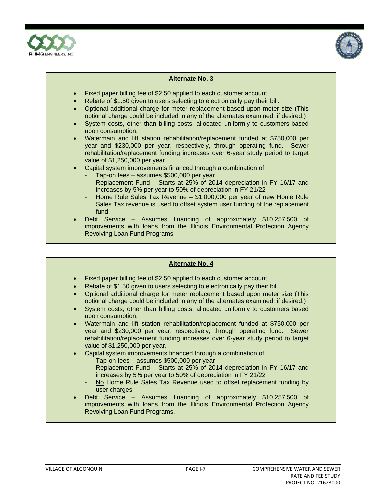



- Fixed paper billing fee of \$2.50 applied to each customer account.
- Rebate of \$1.50 given to users selecting to electronically pay their bill.
- Optional additional charge for meter replacement based upon meter size (This optional charge could be included in any of the alternates examined, if desired.)
- System costs, other than billing costs, allocated uniformly to customers based upon consumption.
- Watermain and lift station rehabilitation/replacement funded at \$750,000 per year and \$230,000 per year, respectively, through operating fund. Sewer rehabilitation/replacement funding increases over 6-year study period to target value of \$1,250,000 per year.
- Capital system improvements financed through a combination of:
	- Tap-on fees assumes \$500,000 per year
	- Replacement Fund Starts at 25% of 2014 depreciation in FY 16/17 and increases by 5% per year to 50% of depreciation in FY 21/22
	- Home Rule Sales Tax Revenue  $-$  \$1,000,000 per year of new Home Rule Sales Tax revenue is used to offset system user funding of the replacement fund.
- Debt Service Assumes financing of approximately \$10,257,500 of improvements with loans from the Illinois Environmental Protection Agency Revolving Loan Fund Programs

- Fixed paper billing fee of \$2.50 applied to each customer account.
- Rebate of \$1.50 given to users selecting to electronically pay their bill.
- Optional additional charge for meter replacement based upon meter size (This optional charge could be included in any of the alternates examined, if desired.)
- System costs, other than billing costs, allocated uniformly to customers based upon consumption.
- Watermain and lift station rehabilitation/replacement funded at \$750,000 per year and \$230,000 per year, respectively, through operating fund. Sewer rehabilitation/replacement funding increases over 6-year study period to target value of \$1,250,000 per year.
- Capital system improvements financed through a combination of:
	- Tap-on fees assumes \$500,000 per year
	- Replacement Fund Starts at 25% of 2014 depreciation in FY 16/17 and increases by 5% per year to 50% of depreciation in FY 21/22
	- No Home Rule Sales Tax Revenue used to offset replacement funding by user charges
- Debt Service Assumes financing of approximately \$10,257,500 of improvements with loans from the Illinois Environmental Protection Agency Revolving Loan Fund Programs.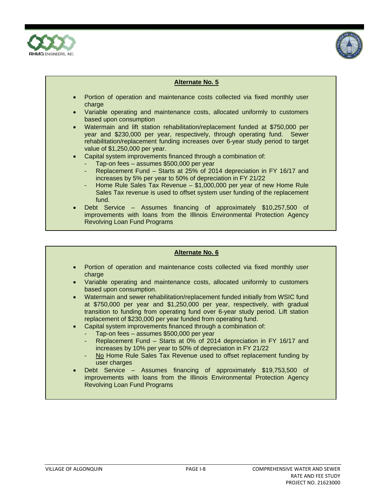



- Portion of operation and maintenance costs collected via fixed monthly user charge
- Variable operating and maintenance costs, allocated uniformly to customers based upon consumption
- Watermain and lift station rehabilitation/replacement funded at \$750,000 per year and \$230,000 per year, respectively, through operating fund. Sewer rehabilitation/replacement funding increases over 6-year study period to target value of \$1,250,000 per year.
- Capital system improvements financed through a combination of:
	- Tap-on fees assumes \$500,000 per year
		- Replacement Fund Starts at 25% of 2014 depreciation in FY 16/17 and increases by 5% per year to 50% of depreciation in FY 21/22
		- Home Rule Sales Tax Revenue \$1,000,000 per year of new Home Rule Sales Tax revenue is used to offset system user funding of the replacement fund.
- Debt Service Assumes financing of approximately \$10,257,500 of improvements with loans from the Illinois Environmental Protection Agency Revolving Loan Fund Programs

- Portion of operation and maintenance costs collected via fixed monthly user charge
- Variable operating and maintenance costs, allocated uniformly to customers based upon consumption.
- Watermain and sewer rehabilitation/replacement funded initially from WSIC fund at \$750,000 per year and \$1,250,000 per year, respectively, with gradual transition to funding from operating fund over 6-year study period. Lift station replacement of \$230,000 per year funded from operating fund.
- Capital system improvements financed through a combination of:
	- Tap-on fees assumes  $$500,000$  per year
	- Replacement Fund Starts at 0% of 2014 depreciation in FY 16/17 and increases by 10% per year to 50% of depreciation in FY 21/22
	- No Home Rule Sales Tax Revenue used to offset replacement funding by user charges
- Debt Service Assumes financing of approximately \$19,753,500 of improvements with loans from the Illinois Environmental Protection Agency Revolving Loan Fund Programs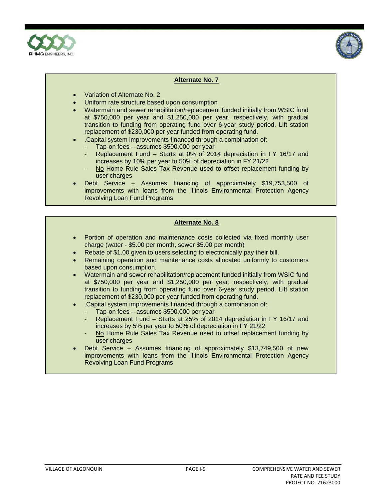



- Variation of Alternate No. 2
- Uniform rate structure based upon consumption
- Watermain and sewer rehabilitation/replacement funded initially from WSIC fund at \$750,000 per year and \$1,250,000 per year, respectively, with gradual transition to funding from operating fund over 6-year study period. Lift station replacement of \$230,000 per year funded from operating fund.
- .Capital system improvements financed through a combination of:
	- Tap-on fees assumes  $$500,000$  per year
	- Replacement Fund Starts at 0% of 2014 depreciation in FY 16/17 and increases by 10% per year to 50% of depreciation in FY 21/22
	- No Home Rule Sales Tax Revenue used to offset replacement funding by user charges
- Debt Service Assumes financing of approximately \$19,753,500 of improvements with loans from the Illinois Environmental Protection Agency Revolving Loan Fund Programs

- Portion of operation and maintenance costs collected via fixed monthly user charge (water - \$5.00 per month, sewer \$5.00 per month)
- Rebate of \$1.00 given to users selecting to electronically pay their bill.
- Remaining operation and maintenance costs allocated uniformly to customers based upon consumption.
- Watermain and sewer rehabilitation/replacement funded initially from WSIC fund at \$750,000 per year and \$1,250,000 per year, respectively, with gradual transition to funding from operating fund over 6-year study period. Lift station replacement of \$230,000 per year funded from operating fund.
- .Capital system improvements financed through a combination of:
	- Tap-on fees assumes \$500,000 per year
	- Replacement Fund Starts at 25% of 2014 depreciation in FY 16/17 and increases by 5% per year to 50% of depreciation in FY 21/22
	- No Home Rule Sales Tax Revenue used to offset replacement funding by user charges
- Debt Service Assumes financing of approximately \$13,749,500 of new improvements with loans from the Illinois Environmental Protection Agency Revolving Loan Fund Programs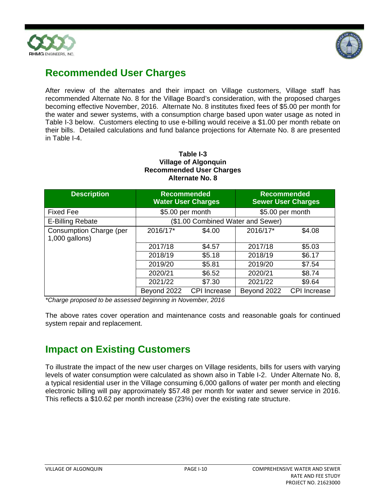



### **Recommended User Charges**

After review of the alternates and their impact on Village customers, Village staff has recommended Alternate No. 8 for the Village Board's consideration, with the proposed charges becoming effective November, 2016. Alternate No. 8 institutes fixed fees of \$5.00 per month for the water and sewer systems, with a consumption charge based upon water usage as noted in Table I-3 below. Customers electing to use e-billing would receive a \$1.00 per month rebate on their bills. Detailed calculations and fund balance projections for Alternate No. 8 are presented in Table I-4.

#### **Table I-3 Village of Algonquin Recommended User Charges Alternate No. 8**

| <b>Description</b>                        | <b>Recommended</b> | <b>Water User Charges</b>         | <b>Recommended</b> | <b>Sewer User Charges</b> |
|-------------------------------------------|--------------------|-----------------------------------|--------------------|---------------------------|
| Fixed Fee                                 | \$5.00 per month   |                                   | \$5.00 per month   |                           |
| E-Billing Rebate                          |                    | (\$1.00 Combined Water and Sewer) |                    |                           |
| Consumption Charge (per<br>1,000 gallons) | 2016/17*           | \$4.00                            | 2016/17*           | \$4.08                    |
|                                           | 2017/18            | \$4.57                            | 2017/18            | \$5.03                    |
|                                           | 2018/19            | \$5.18                            | 2018/19            | \$6.17                    |
|                                           | 2019/20            | \$5.81                            | 2019/20            | \$7.54                    |
|                                           | 2020/21            | \$6.52                            | 2020/21            | \$8.74                    |
|                                           | 2021/22            | \$7.30                            | 2021/22            | \$9.64                    |
|                                           | Beyond 2022        | <b>CPI</b> Increase               | Beyond 2022        | <b>CPI</b> Increase       |

*\*Charge proposed to be assessed beginning in November, 2016* 

The above rates cover operation and maintenance costs and reasonable goals for continued system repair and replacement.

### **Impact on Existing Customers**

To illustrate the impact of the new user charges on Village residents, bills for users with varying levels of water consumption were calculated as shown also in Table I-2. Under Alternate No. 8, a typical residential user in the Village consuming 6,000 gallons of water per month and electing electronic billing will pay approximately \$57.48 per month for water and sewer service in 2016. This reflects a \$10.62 per month increase (23%) over the existing rate structure.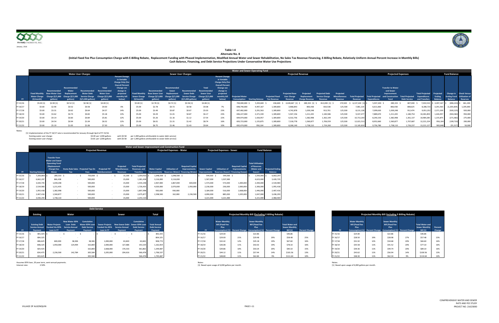

Notes:

| [1] Implementation of the FY 16/17 rate is recommended for January through April of FY 15/16. |                          |             |                                                       |
|-----------------------------------------------------------------------------------------------|--------------------------|-------------|-------------------------------------------------------|
| Existing water user charge:                                                                   | \$4.00 per 1.000 gallons | with \$0.58 | per 1,000 gallons attributable to water debt service) |
| Existing sewer user charge:                                                                   | \$3.81 per 1.000 gallons | with \$0.58 | per 1.000 gallons attributable to sewer debt service  |

Assumes IEPA Ioan, 20 year term<br>1.50% nterest rate: 2.50% loan, 20 year term, semi‐annual payments. Notes: Notes: [1] Based upon usage of 6,000 gallons per month. [1] Based upon usage of 6,000 gallons per month.

**Cash Balance, Financing, and Debt Service Projections Under Conservative Water Use Projections** (Initial Fixed Fee Plus Consumption Charge with E-Billing Rebate, Replacement Funding with Phased Implementation, Modified Annual Water and Sewer Rehabilitation, No Sales Tax Revenue Financing, E-Billing Rebate, Relatively

|           |                     |                                                      |                |                           |            |                         |              |           |             |                           |              |                         | Water and Sewer Operating Fund |                         |                        |                          |           |             |           |                        |           |                           |                        |                        |               |                     |                         |
|-----------|---------------------|------------------------------------------------------|----------------|---------------------------|------------|-------------------------|--------------|-----------|-------------|---------------------------|--------------|-------------------------|--------------------------------|-------------------------|------------------------|--------------------------|-----------|-------------|-----------|------------------------|-----------|---------------------------|------------------------|------------------------|---------------|---------------------|-------------------------|
|           |                     |                                                      |                | <b>Water User Charges</b> |            |                         |              |           |             | <b>Sewer User Charges</b> |              |                         |                                |                         |                        | <b>Projected Revenue</b> |           |             |           |                        |           | <b>Projected Expenses</b> |                        |                        |               | <b>Fund Balance</b> |                         |
|           |                     |                                                      |                |                           |            | <b>Percent Change</b>   |              |           |             |                           |              | <b>Percent Change</b>   |                                |                         |                        |                          |           |             |           |                        |           |                           |                        |                        |               |                     |                         |
|           |                     |                                                      |                |                           |            | in Variable             |              |           |             |                           |              | in Variable             |                                |                         |                        |                          |           |             |           |                        |           |                           |                        |                        |               |                     |                         |
|           |                     |                                                      |                |                           |            | <b>Charge Only (For</b> |              |           |             |                           |              | <b>Charge Only (For</b> |                                |                         |                        |                          |           |             |           |                        |           |                           |                        |                        |               |                     |                         |
|           |                     |                                                      |                |                           |            | <b>Overall Percent</b>  |              |           |             |                           |              | <b>Overall Percent</b>  |                                |                         |                        |                          |           |             |           |                        |           |                           |                        |                        |               |                     |                         |
|           |                     |                                                      | Recommended    |                           | Total      | <b>Change see</b>       |              |           | Recommended |                           | <b>Total</b> | Change see              |                                |                         |                        |                          |           |             |           |                        |           | <b>Transfer to Water</b>  |                        |                        |               |                     |                         |
|           |                     |                                                      | Water          |                           | Recommende | change in               |              |           |             |                           |              | change in               |                                |                         |                        |                          |           |             |           |                        |           | and Sewer                 |                        |                        |               |                     |                         |
|           |                     | <b>Base Water User</b>                               |                |                           |            | projecte                |              |           |             |                           |              | projected               |                                |                         |                        |                          |           | d Debt      | Projected |                        |           | Improvement               |                        | <b>Total Projected</b> | roiected      | <b>Change in</b>    | <b>Check Versus</b>     |
|           | <b>Water Charge</b> | Charge $(\frac{5}{1,000}$ Charge $(\frac{5}{1,000})$ | <b>S/1.000</b> |                           |            | nonthlv b               | Sewer Charge |           | (5/1.000    | <b>Service Charge</b>     |              | monthly bill            | ojected Water                  |                         | <b>Projected Fixed</b> |                          |           |             |           | <b>Total Projected</b> |           |                           | <b>Total Projected</b> | <b>Expenditures</b>    | <b>Ending</b> |                     |                         |
| <b>EY</b> |                     |                                                      |                |                           |            | below)                  |              |           |             | /1 NNN asllons)           |              | below)                  |                                | <b>Starting Balance</b> |                        |                          |           |             |           |                        |           |                           |                        | $-$ and Trans          |               | alance              | Reserves                |
| FY 15/16  | \$5.00 [1]          | \$2.90 [1]                                           | $$0.52$ [1]    | \$0.58[1]                 | \$4.00 [1] |                         | \$5.00 [1]   | \$2.78[1] | \$0.72[1]   | \$0.58[1]                 | \$4.08[1]    |                         | 700,000,000                    | 5,393,600               | 436,600                | 4,428,667 [1] \$         |           | 812,000 [1] | 170,500   | 6,137,100              | 5,937,200 | 289,333                   | 807,000                | 7,033,53               | 4,497,167 \$  |                     | $(896, 433)$ \$ 661,200 |
| FY 16/17  | \$5.00              | \$2.90                                               | \$0.52         | \$0.58                    | \$4.00     | 0%                      | \$5.00       | \$2.78    | \$0.72      | \$0.58                    | \$4.08       | 7%                      | 698,740,000                    | 4,497,167               | 1,309,800              | 3,968,843                | 866,438   | 810,538     | 125,500   | 7,081,1                | 6,611,660 | 866,438                   | 808,625                | 8,286,72               | 3,291,563     | (1,205,604)         | 1,205,000               |
| FY 17/18  | \$5.00              | \$3.31                                               | \$0.62         | \$0.64                    | \$4.57     | 14%                     | \$5.00       | \$3.49    | \$0.87      | \$0.67                    | \$5.03       | 23%                     | 697,482,000                    | 3,291,563               | 1,309,800              | 4,742,878                | 1,039,248 | 913,701     | 125,500   | 8,131,12               | 7,099,630 | 1,039,248                 | 912,474                | 9,051,35               | 2,371,339     | (920, 225)          | 920,000                 |
| FY 18/19  | \$5.00              | \$3.62                                               | \$0.73         | \$0.83                    | \$5.18     | 13%                     | \$5.00       | \$4.29    | \$1.01      | \$0.87                    | \$6.17       | 23%                     | 696,227,000                    | 2,371,339               | 1,309,800              | 5,507,156                | 1,211,435 | 1,183,586   | 125,500   | 9,337,47               | 7,889,670 | 1,211,435                 | 1,180,754              | 10,281,859             | 1,426,95      | (944, 382)          | 950,000                 |
| FY 19/20  | \$5.00              | \$4.14                                               | \$0.83         | \$0.84                    | \$5.81     | 12%                     | \$5.00       | \$5.26    | \$1.16      | \$1.12                    | \$7.54       | 22%                     | 694,974,000                    | 1,426,957               | 1,309,800              | 6,532,756                | 1,382,998 | 1,362,149   | 125,500   | 10,713,2               | 8,240,150 | 1,382,998                 | 1,361,137              | 10,984,28              | 1,155,875     | (271,082)           | 275,000                 |
| FY 20/21  | \$5.00              | \$4.54                                               | \$0.94         | \$1.04                    | \$6.52     | 12%                     | \$5.00       | \$6.01    | \$1.31      | \$1.42                    | \$8.74       | 16%                     | 693,723,000                    | 1,155,875               | 1,309,800              | 7,318,778                | 1,560,877 | 1,706,559   | 125,500   | 12,021,51              | 8,952,660 | 1,560,877                 | 1,707,687              | 12,221,224             | 956,164       | (199, 710)          | 200,000                 |
| FY 21/22  | \$5.00              |                                                      |                |                           |            |                         |              |           |             |                           |              |                         | 692,474,000                    | 956,164                 | .309.800               | 8,268,140                | .738.110  | .724.260    | 125.500   | 13.165.                | 9.756.78  | 1.738.110                 | 1.726.237              | 13.221.127             | 900,848       |                     | 50.000                  |

|           |                         |                                                                                                                 |            |                                          |                                       |                                               | Water and Sewer Improvement and Construction Fund                 |                      |                                   |                                                                                            |                                      |                                   |                                                                               |                                                                 |                                           |
|-----------|-------------------------|-----------------------------------------------------------------------------------------------------------------|------------|------------------------------------------|---------------------------------------|-----------------------------------------------|-------------------------------------------------------------------|----------------------|-----------------------------------|--------------------------------------------------------------------------------------------|--------------------------------------|-----------------------------------|-------------------------------------------------------------------------------|-----------------------------------------------------------------|-------------------------------------------|
|           |                         |                                                                                                                 |            |                                          | <b>Projected Revenue</b>              |                                               |                                                                   |                      | <b>Projected Expenses - Water</b> |                                                                                            |                                      | <b>Projected Expenses - Sewer</b> |                                                                               |                                                                 | <b>Fund Balance</b>                       |
| <b>FY</b> | <b>Starting Balance</b> | Transfer from<br><b>Water and Sewer</b><br><b>Operating Fund</b><br>(Replacement<br><b>Charge)</b> See<br>Above | <b>Tax</b> | Home Rule Sales Projected Tap-On<br>Fees | <b>Projected TIF</b><br>Reimbursement | Projected<br><b>Miscellaneous</b><br>Revenues | <b>Total Projected</b><br><b>Revenues and</b><br><b>Transfers</b> | <b>Water Capital</b> | <b>Utilization of</b>             | <b>Required Capital</b><br>Improvements<br>Improvements Reserves (Water) Financing (Water) | <b>Sewer Capital</b><br>Improvements | <b>Utilization of</b>             | <b>Required Capital</b><br>Improvements<br>Reserves (Sewer) Financing (Sewer) | <b>Total Utilization</b><br>of Reserves<br>(Water and<br>Sewer) | <b>Projected Ending</b><br><b>Balance</b> |
| FY 15/16  | 7,200,864               | 289,333 \$                                                                                                      | - S        | 750,000 \$                               |                                       | $15,100 \quad $$<br>- S                       | 1,054,433 \$                                                      | 1,048,500 \$         | 1,048,500 \$                      |                                                                                            | 544,500 \$                           | 544,500 \$                        |                                                                               | 1,593,000 \$                                                    | 6,662,297                                 |
| FY 16/17  | 6,662,297               | 866,438                                                                                                         |            | 500,000                                  |                                       | 15,000                                        | 1,381,438                                                         | 3,116,000            | 3,116,000                         |                                                                                            | 1,507,000                            | 1,507,000                         |                                                                               | 4,623,000                                                       | 3,420,735                                 |
| FY 17/18  | 3,420,735               | 1,039,248                                                                                                       |            | 500,000                                  |                                       | 15,000                                        | 1,554,248                                                         | 2,467,000            | 1,867,000                         | 600,000                                                                                    | 1,573,000                            | 573,000                           | 1,000,000                                                                     | 2,440,000                                                       | 2,534,983                                 |
| FY 18/19  | 2,534,983               | 1,211,435                                                                                                       |            | 500,000                                  |                                       | 15,000                                        | 1,726,435                                                         | 4,020,000            | 2,070,000                         | 1,950,000                                                                                  | 2,236,000                            | 236,000                           | 2,000,000                                                                     | 2,306,000                                                       | 1,955,418                                 |
| FY 19/20  | 1,955,418               | 1,382,998                                                                                                       | $\sim$     | 500,000                                  |                                       | 15,000                                        | 1,897,998                                                         | 930,000              | 930,000                           |                                                                                            | 3,184,000                            | 516,000                           | 2,668,000                                                                     | 1,446,000                                                       | 2,407,416                                 |
| FY 20/21  | 2,407,416               | 1,560,877                                                                                                       |            | 500,000                                  | $\sim$                                | 15,000                                        | 2,075,877                                                         | 2,398,500            | 162,000                           | 2,236,500                                                                                  | 4,090,000                            | 885,000                           | 3,205,000                                                                     | 1,047,000                                                       | 3,436,293                                 |
| FY 21/22  | 3,436,293               | 1,738,110                                                                                                       |            | 500,000                                  |                                       | 15,000                                        | 2,253,110                                                         |                      |                                   |                                                                                            | 3,221,000                            | 3,221,000                         |                                                                               | 3,221,000                                                       | 2,468,403                                 |

| Projected Monthly Bill (Including E-Bililng Rebate) |                                                                                   |                       |                                                                                   |                       |                                                              |                   |  |  |  |  |
|-----------------------------------------------------|-----------------------------------------------------------------------------------|-----------------------|-----------------------------------------------------------------------------------|-----------------------|--------------------------------------------------------------|-------------------|--|--|--|--|
| <b>FY</b>                                           | <b>Water Monthly</b><br><b>Bill (Fixed Fee</b><br><b>Plus</b><br>Consumption) [1] | <b>Percent Change</b> | <b>Sewer Monthly</b><br><b>Bill (Fixed Fee</b><br><b>Plus</b><br>Consumption) [1] | <b>Percent Change</b> | <b>Total Water and</b><br><b>Sewer Monthly</b><br>Bill $[1]$ | Percent<br>Change |  |  |  |  |
| FY 15/16                                            | \$24.00                                                                           |                       | \$22.86                                                                           |                       | \$46.86                                                      |                   |  |  |  |  |
| FY 16/17                                            | \$28.50                                                                           | 19%                   | \$28.98                                                                           | 27%                   | \$57.48                                                      | 23%               |  |  |  |  |
| FY 17/18                                            | \$31.92                                                                           | 12%                   | \$34.68                                                                           | 20%                   | \$66.60                                                      | 16%               |  |  |  |  |
| FY 18/19                                            | \$35.58                                                                           | 11%                   | \$41.52                                                                           | 20%                   | \$77.10                                                      | 16%               |  |  |  |  |
| FY 19/20                                            | \$39.36                                                                           | 11%                   | \$49.74                                                                           | 20%                   | \$89.10                                                      | 16%               |  |  |  |  |
| FY 20/21                                            | \$43.62                                                                           | 11%                   | \$56.94                                                                           | 14%                   | \$100.56                                                     | 13%               |  |  |  |  |
| FY 21/22                                            | \$48.30                                                                           | 11%                   | \$62.34                                                                           | 9%                    | \$110.64                                                     | 10%               |  |  |  |  |

|          |                                               |                                                 |                                                                  |                                               | <b>Debt Service</b>   |                                                                 |                                   |                                            |
|----------|-----------------------------------------------|-------------------------------------------------|------------------------------------------------------------------|-----------------------------------------------|-----------------------|-----------------------------------------------------------------|-----------------------------------|--------------------------------------------|
|          | <b>Existing</b><br>Total<br>Water<br>Sewer    |                                                 |                                                                  |                                               |                       |                                                                 |                                   |                                            |
|          | <b>Existing Debt</b><br><b>Service Annual</b> | <b>Water Projects</b><br><b>Funded Via IEPA</b> | New Water IEPA Cumulative<br>Loan Debt<br><b>Service Annual:</b> | <b>Water IEPA Loan</b><br><b>Debt Service</b> | <b>Sewer Projects</b> | New Sewer Debt Sewer IEPA Loan<br>unded Via IEPA Service Annual | Cumulative<br><b>Debt Service</b> | <b>Total Annual</b><br><b>Debt Service</b> |
| FY.      | <b>Payment</b>                                | Loan in FY                                      | Pavment                                                          | Payment                                       | Loan in FY            | Payment                                                         | Payment                           | Payment                                    |
| FY 15/16 | 801,425 \$                                    | . .                                             |                                                                  |                                               |                       |                                                                 |                                   | 801,425                                    |
| FY 16/17 | 804,325                                       |                                                 |                                                                  |                                               |                       |                                                                 |                                   | 804,325                                    |
| FY 17/18 | 806,625                                       | 600,000                                         | 38,306                                                           | 38,306                                        | 1,000,000             | 63,843                                                          | 63,843                            | 908,774                                    |
| FY 18/19 | 808,325                                       | 1,950,000                                       | 124,494                                                          | 162,800                                       | 2,000,000             | 127,686                                                         | 191,529                           | 1,162,654                                  |
| FY 19/20 | 824,425                                       |                                                 |                                                                  | 162,800                                       | 2.668.000             | 170,333                                                         | 361,862                           | 1,349,087                                  |
| FY 20/21 | 834,475                                       | 2,236,500                                       | 142,784                                                          | 305,584                                       | 3,205,000             | 204,616                                                         | 566,478                           | 1,706,537                                  |
| FY 21/22 | 833,625                                       |                                                 |                                                                  | 305,584                                       |                       |                                                                 | 566,478                           | 1.705.687                                  |

|               |                                                                               | Total                                                 |                 |                                                                                                                           |     | Projected Monthly Bill (Excluding E-Bililng Rebate)    |     |                                                            |                       |
|---------------|-------------------------------------------------------------------------------|-------------------------------------------------------|-----------------|---------------------------------------------------------------------------------------------------------------------------|-----|--------------------------------------------------------|-----|------------------------------------------------------------|-----------------------|
| nnual<br>nt   | <b>Cumulative</b><br>r Debt Sewer IEPA Loan<br><b>Debt Service</b><br>Payment | <b>Total Annual</b><br><b>Debt Service</b><br>Payment | FY <sup>1</sup> | <b>Water Monthly</b><br><b>Bill (Fixed Fee</b><br>Plus<br>Consumption) [1] Percent Change Consumption) [1] Percent Change |     | <b>Sewer Monthly</b><br><b>Bill (Fixed Fee</b><br>Plus |     | <b>Total Water and</b><br>Sewer Monthly<br><b>Bill</b> [1] | <b>Percent Change</b> |
| $\sim$ $\sim$ |                                                                               | 801,425                                               | FY 15/16        | \$24.00                                                                                                                   |     | \$22.86                                                |     | \$46.86                                                    |                       |
|               |                                                                               | 804,325                                               | FY 16/17        | \$29.00                                                                                                                   | 21% | \$29.48                                                | 29% | \$58.48                                                    | 25%                   |
| 53,843        | 63,843                                                                        | 908,774                                               | FY 17/18        | \$32.42                                                                                                                   | 12% | \$35.18                                                | 19% | \$67.60                                                    | 16%                   |
| 27,686        | 191,529                                                                       | 1,162,654                                             | FY 18/19        | \$36.08                                                                                                                   | 11% | \$42.02                                                | 19% | \$78.10                                                    | 16%                   |
| 70,333        | 361,862                                                                       | 1,349,087                                             | FY 19/20        | \$39.86                                                                                                                   | 10% | \$50.24                                                | 20% | \$90.10                                                    | 15%                   |
| 04,616        | 566,478                                                                       | 1,706,537                                             | FY 20/21        | \$44.12                                                                                                                   | 11% | \$57.44                                                | 14% | \$101.56                                                   | 13%                   |
|               | 566,478                                                                       | 1,705,687                                             | FY 21/22        | \$48.80                                                                                                                   | 11% | \$62.84                                                | 9%  | \$111.64                                                   | 10%                   |

#### **Alternate No. 8 Table I‐4**

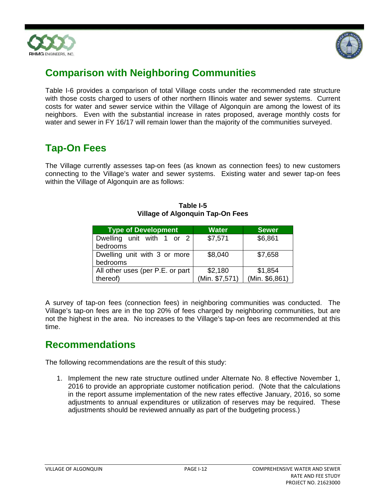



## **Comparison with Neighboring Communities**

Table I-6 provides a comparison of total Village costs under the recommended rate structure with those costs charged to users of other northern Illinois water and sewer systems. Current costs for water and sewer service within the Village of Algonquin are among the lowest of its neighbors. Even with the substantial increase in rates proposed, average monthly costs for water and sewer in FY 16/17 will remain lower than the majority of the communities surveyed.

## **Tap-On Fees**

The Village currently assesses tap-on fees (as known as connection fees) to new customers connecting to the Village's water and sewer systems. Existing water and sewer tap-on fees within the Village of Algonquin are as follows:

| <b>Type of Development</b>       | <b>Water</b>                     | <b>Sewer</b> |  |  |
|----------------------------------|----------------------------------|--------------|--|--|
| Dwelling unit with 1 or 2        | \$7,571                          | \$6,861      |  |  |
| bedrooms                         |                                  |              |  |  |
| Dwelling unit with 3 or more     | \$8,040                          | \$7,658      |  |  |
| bedrooms                         |                                  |              |  |  |
| All other uses (per P.E. or part | \$2,180                          | \$1,854      |  |  |
| thereof)                         | (Min. \$6,861)<br>(Min. \$7,571) |              |  |  |

**Table I-5 Village of Algonquin Tap-On Fees** 

A survey of tap-on fees (connection fees) in neighboring communities was conducted. The Village's tap-on fees are in the top 20% of fees charged by neighboring communities, but are not the highest in the area. No increases to the Village's tap-on fees are recommended at this time.

### **Recommendations**

The following recommendations are the result of this study:

1. Implement the new rate structure outlined under Alternate No. 8 effective November 1, 2016 to provide an appropriate customer notification period. (Note that the calculations in the report assume implementation of the new rates effective January, 2016, so some adjustments to annual expenditures or utilization of reserves may be required. These adjustments should be reviewed annually as part of the budgeting process.)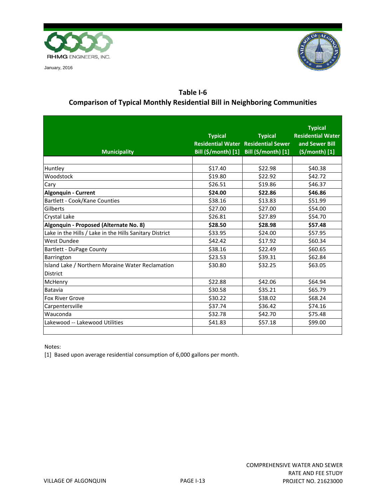

January, 2016



### **Table I‐6 Comparison of Typical Monthly Residential Bill in Neighboring Communities**

|                                                         |                        |                                            | <b>Typical</b>           |
|---------------------------------------------------------|------------------------|--------------------------------------------|--------------------------|
|                                                         | <b>Typical Typical</b> | <b>Typical</b>                             | <b>Residential Water</b> |
|                                                         |                        | <b>Residential Water Residential Sewer</b> | and Sewer Bill           |
| <b>Municipality</b>                                     |                        | Bill (\$/month) [1] Bill (S/month) [1]     | $(S/month)$ [1]          |
|                                                         |                        |                                            |                          |
| Huntley                                                 | \$17.40                | \$22.98                                    | \$40.38                  |
| Woodstock                                               | \$19.80                | \$22.92                                    | \$42.72                  |
| Cary                                                    | \$26.51                | \$19.86                                    | \$46.37                  |
| <b>Algonquin - Current</b>                              | \$24.00                | \$22.86                                    | \$46.86                  |
| Bartlett - Cook/Kane Counties                           | \$38.16                | \$13.83                                    | \$51.99                  |
| Gilberts                                                | \$27.00                | \$27.00                                    | \$54.00                  |
| Crystal Lake                                            | \$26.81                | \$27.89                                    | \$54.70                  |
| Algonquin - Proposed (Alternate No. 8)                  | \$28.50                | \$28.98                                    | \$57.48                  |
| Lake in the Hills / Lake in the Hills Sanitary District | \$33.95                | \$24.00                                    | \$57.95                  |
| West Dundee                                             | \$42.42                | \$17.92                                    | \$60.34                  |
| <b>Bartlett - DuPage County</b>                         | \$38.16                | \$22.49                                    | \$60.65                  |
| Barrington                                              | \$23.53                | \$39.31                                    | \$62.84                  |
| Island Lake / Northern Moraine Water Reclamation        | \$30.80                | \$32.25                                    | \$63.05                  |
| <b>District</b>                                         |                        |                                            |                          |
| McHenry                                                 | \$22.88                | \$42.06                                    | \$64.94                  |
| Batavia                                                 | \$30.58                | \$35.21                                    | \$65.79                  |
| <b>Fox River Grove</b>                                  | \$30.22                | \$38.02                                    | \$68.24                  |
| Carpentersville                                         | \$37.74                | \$36.42                                    | \$74.16                  |
| Wauconda                                                | \$32.78                | \$42.70                                    | \$75.48                  |
| Lakewood -- Lakewood Utilities                          | \$41.83                | \$57.18                                    | \$99.00                  |
|                                                         |                        |                                            |                          |

Notes:

[1] Based upon average residential consumption of 6,000 gallons per month.